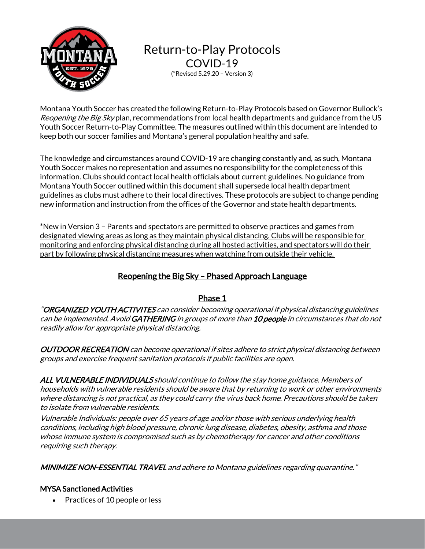

Return-to-Play Protocols COVID-19 (\*Revised 5.29.20 – Version 3)

Montana Youth Soccer has created the following Return-to-Play Protocols based on Governor Bullock's Reopening the Big Skyplan, recommendations from local health departments and guidance from the US Youth Soccer Return-to-Play Committee. The measures outlined within this document are intended to keep both our soccer families and Montana's general population healthy and safe.

The knowledge and circumstances around COVID-19 are changing constantly and, as such, Montana Youth Soccer makes no representation and assumes no responsibility for the completeness of this information. Clubs should contact local health officials about current guidelines. No guidance from Montana Youth Soccer outlined within this document shall supersede local health department guidelines as clubs must adhere to their local directives. These protocols are subject to change pending new information and instruction from the offices of the Governor and state health departments.

\*New in Version 3 – Parents and spectators are permitted to observe practices and games from designated viewing areas as long as they maintain physical distancing. Clubs will be responsible for monitoring and enforcing physical distancing during all hosted activities, and spectators will do their part by following physical distancing measures when watching from outside their vehicle.

# Reopening the Big Sky – Phased Approach Language

# Phase 1

"ORGANIZED YOUTH ACTIVITES can consider becoming operational if physical distancing guidelines can be implemented. Avoid GATHERING in groups of more than 10 people in circumstances that do not readily allow for appropriate physical distancing.

OUTDOOR RECREATION can become operational if sites adhere to strict physical distancing between groups and exercise frequent sanitation protocols if public facilities are open.

ALL VULNERABLE INDIVIDUALS should continue to follow the stay home guidance. Members of households with vulnerable residents should be aware that by returning to work or other environments where distancing is not practical, as they could carry the virus back home. Precautions should be taken to isolate from vulnerable residents.

Vulnerable Individuals: people over 65 years of age and/or those with serious underlying health conditions, including high blood pressure, chronic lung disease, diabetes, obesity, asthma and those whose immune system is compromised such as by chemotherapy for cancer and other conditions requiring such therapy.

MINIMIZE NON-ESSENTIAL TRAVEL and adhere to Montana guidelines regarding quarantine."

## MYSA Sanctioned Activities

• Practices of 10 people or less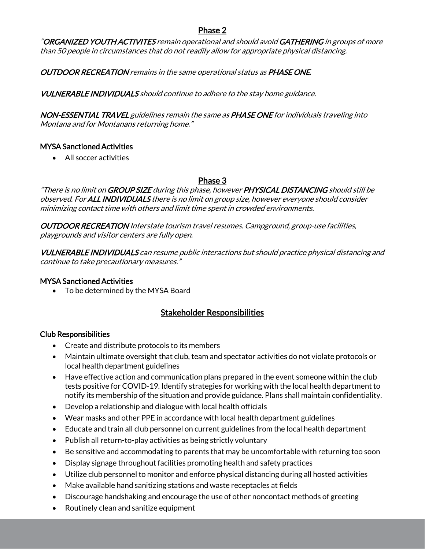## Phase 2

"ORGANIZED YOUTH ACTIVITES remain operational and should avoid GATHERING in groups of more than 50 people in circumstances that do not readily allow for appropriate physical distancing.

## OUTDOOR RECREATION remains in the same operational status as PHASE ONE.

VULNERABLE INDIVIDUALS should continue to adhere to the stay home guidance.

NON-ESSENTIAL TRAVEL guidelines remain the same as PHASE ONE for individuals traveling into Montana and for Montanans returning home."

#### MYSA Sanctioned Activities

• All soccer activities

### Phase 3

"There is no limit on GROUP SIZE during this phase, however PHYSICAL DISTANCING should still be observed. For ALL INDIVIDUALS there is no limit on group size, however everyone should consider minimizing contact time with others and limit time spent in crowded environments.

OUTDOOR RECREATION Interstate tourism travel resumes. Campground, group-use facilities, playgrounds and visitor centers are fully open.

VULNERABLE INDIVIDUALS can resume public interactions but should practice physical distancing and continue to take precautionary measures."

#### MYSA Sanctioned Activities

• To be determined by the MYSA Board

# Stakeholder Responsibilities

### Club Responsibilities

- Create and distribute protocols to its members
- Maintain ultimate oversight that club, team and spectator activities do not violate protocols or local health department guidelines
- Have effective action and communication plans prepared in the event someone within the club tests positive for COVID-19. Identify strategies for working with the local health department to notify its membership of the situation and provide guidance. Plans shall maintain confidentiality.
- Develop a relationship and dialogue with local health officials
- Wear masks and other PPE in accordance with local health department guidelines
- Educate and train all club personnel on current guidelines from the local health department
- Publish all return-to-play activities as being strictly voluntary
- Be sensitive and accommodating to parents that may be uncomfortable with returning too soon
- Display signage throughout facilities promoting health and safety practices
- Utilize club personnel to monitor and enforce physical distancing during all hosted activities
- Make available hand sanitizing stations and waste receptacles at fields
- Discourage handshaking and encourage the use of other noncontact methods of greeting
- Routinely clean and sanitize equipment